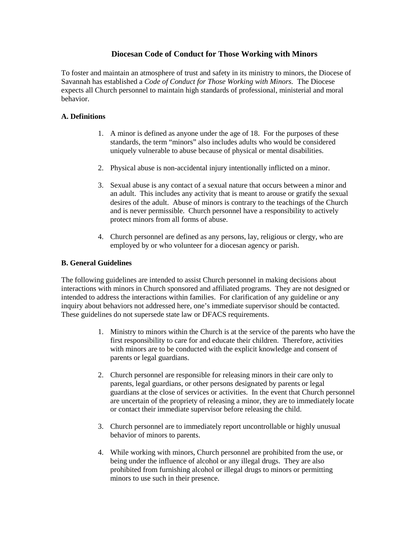# **Diocesan Code of Conduct for Those Working with Minors**

To foster and maintain an atmosphere of trust and safety in its ministry to minors, the Diocese of Savannah has established a *Code of Conduct for Those Working with Minors.* The Diocese expects all Church personnel to maintain high standards of professional, ministerial and moral behavior.

## **A. Definitions**

- 1. A minor is defined as anyone under the age of 18. For the purposes of these standards, the term "minors" also includes adults who would be considered uniquely vulnerable to abuse because of physical or mental disabilities.
- 2. Physical abuse is non-accidental injury intentionally inflicted on a minor.
- 3. Sexual abuse is any contact of a sexual nature that occurs between a minor and an adult. This includes any activity that is meant to arouse or gratify the sexual desires of the adult. Abuse of minors is contrary to the teachings of the Church and is never permissible. Church personnel have a responsibility to actively protect minors from all forms of abuse.
- 4. Church personnel are defined as any persons, lay, religious or clergy, who are employed by or who volunteer for a diocesan agency or parish.

## **B. General Guidelines**

The following guidelines are intended to assist Church personnel in making decisions about interactions with minors in Church sponsored and affiliated programs. They are not designed or intended to address the interactions within families. For clarification of any guideline or any inquiry about behaviors not addressed here, one's immediate supervisor should be contacted. These guidelines do not supersede state law or DFACS requirements.

- 1. Ministry to minors within the Church is at the service of the parents who have the first responsibility to care for and educate their children. Therefore, activities with minors are to be conducted with the explicit knowledge and consent of parents or legal guardians.
- 2. Church personnel are responsible for releasing minors in their care only to parents, legal guardians, or other persons designated by parents or legal guardians at the close of services or activities. In the event that Church personnel are uncertain of the propriety of releasing a minor, they are to immediately locate or contact their immediate supervisor before releasing the child.
- 3. Church personnel are to immediately report uncontrollable or highly unusual behavior of minors to parents.
- 4. While working with minors, Church personnel are prohibited from the use, or being under the influence of alcohol or any illegal drugs. They are also prohibited from furnishing alcohol or illegal drugs to minors or permitting minors to use such in their presence.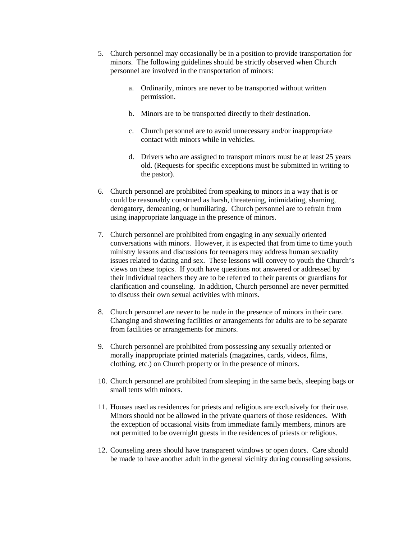- 5. Church personnel may occasionally be in a position to provide transportation for minors. The following guidelines should be strictly observed when Church personnel are involved in the transportation of minors:
	- a. Ordinarily, minors are never to be transported without written permission.
	- b. Minors are to be transported directly to their destination.
	- c. Church personnel are to avoid unnecessary and/or inappropriate contact with minors while in vehicles.
	- d. Drivers who are assigned to transport minors must be at least 25 years old. (Requests for specific exceptions must be submitted in writing to the pastor).
- 6. Church personnel are prohibited from speaking to minors in a way that is or could be reasonably construed as harsh, threatening, intimidating, shaming, derogatory, demeaning, or humiliating. Church personnel are to refrain from using inappropriate language in the presence of minors.
- 7. Church personnel are prohibited from engaging in any sexually oriented conversations with minors. However, it is expected that from time to time youth ministry lessons and discussions for teenagers may address human sexuality issues related to dating and sex. These lessons will convey to youth the Church's views on these topics. If youth have questions not answered or addressed by their individual teachers they are to be referred to their parents or guardians for clarification and counseling. In addition, Church personnel are never permitted to discuss their own sexual activities with minors.
- 8. Church personnel are never to be nude in the presence of minors in their care. Changing and showering facilities or arrangements for adults are to be separate from facilities or arrangements for minors.
- 9. Church personnel are prohibited from possessing any sexually oriented or morally inappropriate printed materials (magazines, cards, videos, films, clothing, etc.) on Church property or in the presence of minors.
- 10. Church personnel are prohibited from sleeping in the same beds, sleeping bags or small tents with minors.
- 11. Houses used as residences for priests and religious are exclusively for their use. Minors should not be allowed in the private quarters of those residences. With the exception of occasional visits from immediate family members, minors are not permitted to be overnight guests in the residences of priests or religious.
- 12. Counseling areas should have transparent windows or open doors. Care should be made to have another adult in the general vicinity during counseling sessions.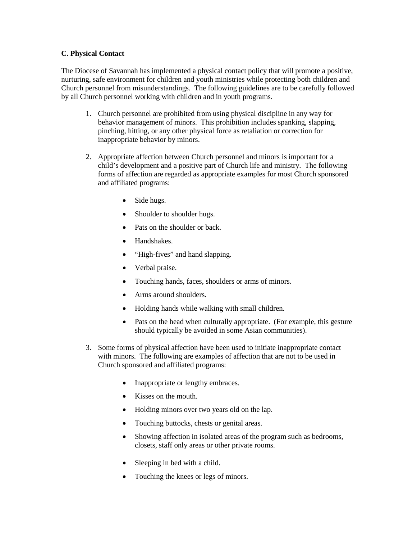### **C. Physical Contact**

The Diocese of Savannah has implemented a physical contact policy that will promote a positive, nurturing, safe environment for children and youth ministries while protecting both children and Church personnel from misunderstandings. The following guidelines are to be carefully followed by all Church personnel working with children and in youth programs.

- 1. Church personnel are prohibited from using physical discipline in any way for behavior management of minors. This prohibition includes spanking, slapping, pinching, hitting, or any other physical force as retaliation or correction for inappropriate behavior by minors.
- 2. Appropriate affection between Church personnel and minors is important for a child's development and a positive part of Church life and ministry. The following forms of affection are regarded as appropriate examples for most Church sponsored and affiliated programs:
	- Side hugs.
	- Shoulder to shoulder hugs.
	- Pats on the shoulder or back.
	- Handshakes.
	- "High-fives" and hand slapping.
	- Verbal praise.
	- Touching hands, faces, shoulders or arms of minors.
	- Arms around shoulders.
	- Holding hands while walking with small children.
	- Pats on the head when culturally appropriate. (For example, this gesture should typically be avoided in some Asian communities).
- 3. Some forms of physical affection have been used to initiate inappropriate contact with minors. The following are examples of affection that are not to be used in Church sponsored and affiliated programs:
	- Inappropriate or lengthy embraces.
	- Kisses on the mouth.
	- Holding minors over two years old on the lap.
	- Touching buttocks, chests or genital areas.
	- Showing affection in isolated areas of the program such as bedrooms, closets, staff only areas or other private rooms.
	- Sleeping in bed with a child.
	- Touching the knees or legs of minors.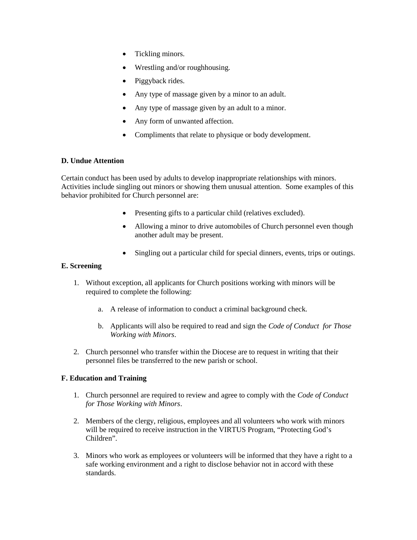- Tickling minors.
- Wrestling and/or roughhousing.
- Piggyback rides.
- Any type of massage given by a minor to an adult.
- Any type of massage given by an adult to a minor.
- Any form of unwanted affection.
- Compliments that relate to physique or body development.

#### **D. Undue Attention**

Certain conduct has been used by adults to develop inappropriate relationships with minors. Activities include singling out minors or showing them unusual attention. Some examples of this behavior prohibited for Church personnel are:

- Presenting gifts to a particular child (relatives excluded).
- Allowing a minor to drive automobiles of Church personnel even though another adult may be present.
- Singling out a particular child for special dinners, events, trips or outings.

### **E. Screening**

- 1. Without exception, all applicants for Church positions working with minors will be required to complete the following:
	- a. A release of information to conduct a criminal background check.
	- b. Applicants will also be required to read and sign the *Code of Conduct for Those Working with Minors*.
- 2. Church personnel who transfer within the Diocese are to request in writing that their personnel files be transferred to the new parish or school.

### **F. Education and Training**

- 1. Church personnel are required to review and agree to comply with the *Code of Conduct for Those Working with Minors*.
- 2. Members of the clergy, religious, employees and all volunteers who work with minors will be required to receive instruction in the VIRTUS Program, "Protecting God's Children".
- 3. Minors who work as employees or volunteers will be informed that they have a right to a safe working environment and a right to disclose behavior not in accord with these standards.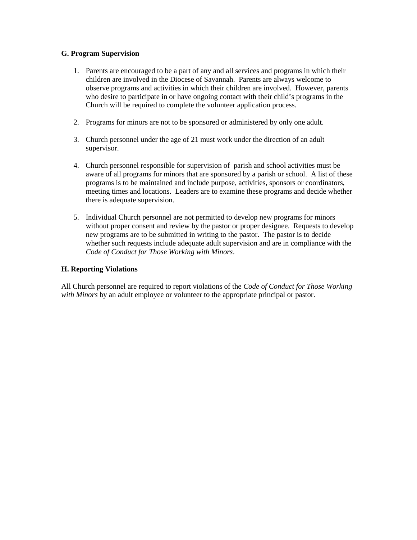### **G. Program Supervision**

- 1. Parents are encouraged to be a part of any and all services and programs in which their children are involved in the Diocese of Savannah. Parents are always welcome to observe programs and activities in which their children are involved. However, parents who desire to participate in or have ongoing contact with their child's programs in the Church will be required to complete the volunteer application process.
- 2. Programs for minors are not to be sponsored or administered by only one adult.
- 3. Church personnel under the age of 21 must work under the direction of an adult supervisor.
- 4. Church personnel responsible for supervision of parish and school activities must be aware of all programs for minors that are sponsored by a parish or school. A list of these programs is to be maintained and include purpose, activities, sponsors or coordinators, meeting times and locations. Leaders are to examine these programs and decide whether there is adequate supervision.
- 5. Individual Church personnel are not permitted to develop new programs for minors without proper consent and review by the pastor or proper designee. Requests to develop new programs are to be submitted in writing to the pastor. The pastor is to decide whether such requests include adequate adult supervision and are in compliance with the *Code of Conduct for Those Working with Minors*.

### **H. Reporting Violations**

All Church personnel are required to report violations of the *Code of Conduct for Those Working with Minors* by an adult employee or volunteer to the appropriate principal or pastor.